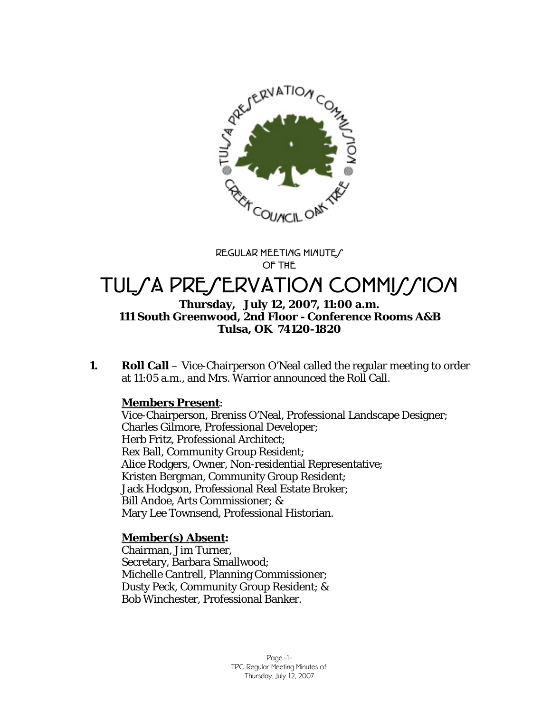

**REGULAR MEETING MINUTES OF THE** 

# TUL/A PRE/ERVATION COMMI//ION

## **Thursday, July 12, 2007, 11:00 a.m. 111 South Greenwood, 2nd Floor - Conference Rooms A&B Tulsa, OK 74120-1820**

**1.** Roll Call – Vice-Chairperson O'Neal called the regular meeting to order at 11:05 a.m., and Mrs. Warrior announced the Roll Call.

# **Members Present**:

Vice-Chairperson, Breniss O'Neal, Professional Landscape Designer; Charles Gilmore, Professional Developer; Herb Fritz, Professional Architect; Rex Ball, Community Group Resident; Alice Rodgers, Owner, Non-residential Representative; Kristen Bergman, Community Group Resident; Jack Hodgson, Professional Real Estate Broker; Bill Andoe, Arts Commissioner; & Mary Lee Townsend, Professional Historian.

# **Member(s) Absent:**

Chairman, Jim Turner, Secretary, Barbara Smallwood; Michelle Cantrell, Planning Commissioner; Dusty Peck, Community Group Resident; & Bob Winchester, Professional Banker.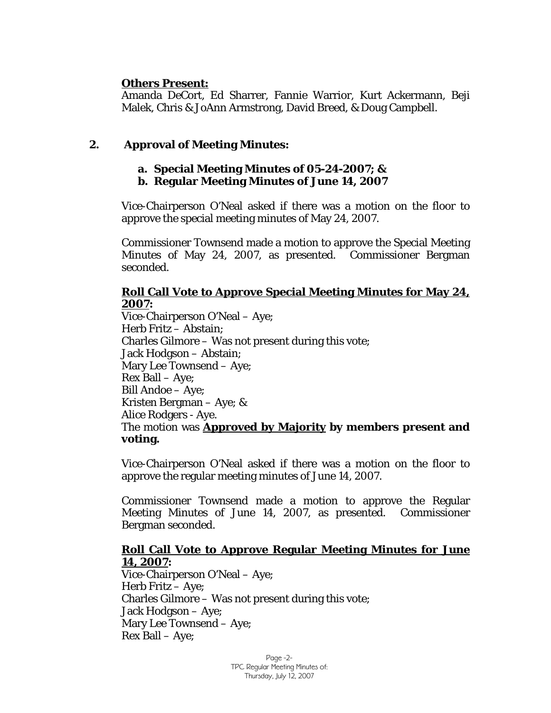## **Others Present:**

Amanda DeCort, Ed Sharrer, Fannie Warrior, Kurt Ackermann, Beji Malek, Chris & JoAnn Armstrong, David Breed, & Doug Campbell.

# **2. Approval of Meeting Minutes:**

# **a. Special Meeting Minutes of 05-24-2007; &**

**b. Regular Meeting Minutes of June 14, 2007** 

Vice-Chairperson O'Neal asked if there was a motion on the floor to approve the special meeting minutes of May 24, 2007.

Commissioner Townsend made a motion to approve the Special Meeting Minutes of May 24, 2007, as presented. Commissioner Bergman seconded.

## **Roll Call Vote to Approve Special Meeting Minutes for May 24, 2007:**

Vice-Chairperson O'Neal – Aye; Herb Fritz – Abstain; Charles Gilmore – Was not present during this vote; Jack Hodgson – Abstain; Mary Lee Townsend – Aye; Rex Ball – Aye; Bill Andoe – Aye; Kristen Bergman – Aye; & Alice Rodgers - Aye. The motion was **Approved by Majority by members present and voting.** 

Vice-Chairperson O'Neal asked if there was a motion on the floor to approve the regular meeting minutes of June 14, 2007.

Commissioner Townsend made a motion to approve the Regular Meeting Minutes of June 14, 2007, as presented. Commissioner Bergman seconded.

## **Roll Call Vote to Approve Regular Meeting Minutes for June 14, 2007:**

Vice-Chairperson O'Neal – Aye; Herb Fritz – Aye; Charles Gilmore – Was not present during this vote; Jack Hodgson – Aye; Mary Lee Townsend – Aye; Rex Ball – Aye;

> Page -2- TPC Regular Meeting Minutes of: Thursday, July 12, 2007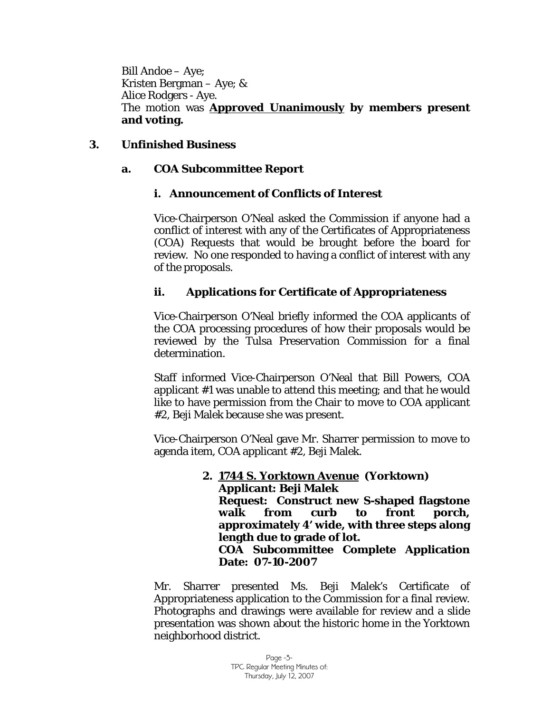Bill Andoe – Aye; Kristen Bergman – Aye; & Alice Rodgers - Aye. The motion was **Approved Unanimously by members present and voting.** 

# **3. Unfinished Business**

# **a. COA Subcommittee Report**

## **i. Announcement of Conflicts of Interest**

Vice-Chairperson O'Neal asked the Commission if anyone had a conflict of interest with any of the Certificates of Appropriateness (COA) Requests that would be brought before the board for review. No one responded to having a conflict of interest with any of the proposals.

## **ii. Applications for Certificate of Appropriateness**

Vice-Chairperson O'Neal briefly informed the COA applicants of the COA processing procedures of how their proposals would be reviewed by the Tulsa Preservation Commission for a final determination.

Staff informed Vice-Chairperson O'Neal that Bill Powers, COA applicant #1 was unable to attend this meeting; and that he would like to have permission from the Chair to move to COA applicant #2, Beji Malek because she was present.

Vice-Chairperson O'Neal gave Mr. Sharrer permission to move to agenda item, COA applicant #2, Beji Malek.

#### **2. 1744 S. Yorktown Avenue (Yorktown) Applicant: Beji Malek Request: Construct new S-shaped flagstone walk from curb to front porch, approximately 4' wide, with three steps along length due to grade of lot. COA Subcommittee Complete Application Date: 07-10-2007**

Mr. Sharrer presented Ms. Beji Malek's Certificate of Appropriateness application to the Commission for a final review. Photographs and drawings were available for review and a slide presentation was shown about the historic home in the Yorktown neighborhood district.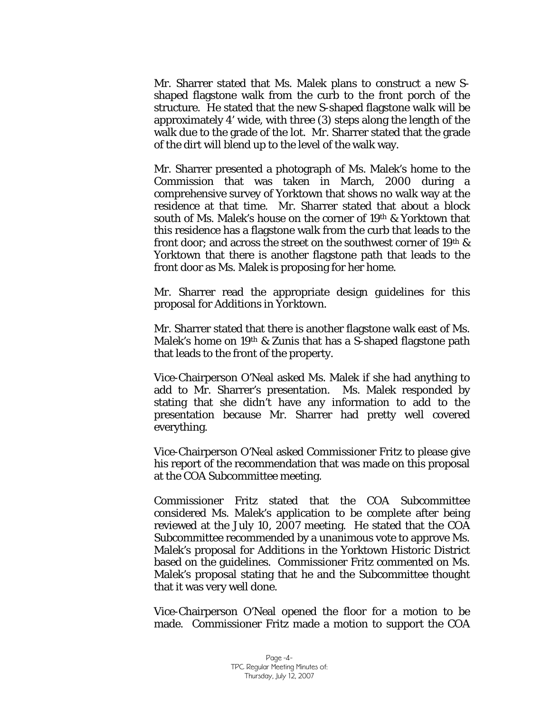Mr. Sharrer stated that Ms. Malek plans to construct a new Sshaped flagstone walk from the curb to the front porch of the structure. He stated that the new S-shaped flagstone walk will be approximately 4' wide, with three (3) steps along the length of the walk due to the grade of the lot. Mr. Sharrer stated that the grade of the dirt will blend up to the level of the walk way.

Mr. Sharrer presented a photograph of Ms. Malek's home to the Commission that was taken in March, 2000 during a comprehensive survey of Yorktown that shows no walk way at the residence at that time. Mr. Sharrer stated that about a block south of Ms. Malek's house on the corner of 19<sup>th</sup> & Yorktown that this residence has a flagstone walk from the curb that leads to the front door; and across the street on the southwest corner of 19th  $\&$ Yorktown that there is another flagstone path that leads to the front door as Ms. Malek is proposing for her home.

Mr. Sharrer read the appropriate design guidelines for this proposal for *Additions in Yorktown.* 

Mr. Sharrer stated that there is another flagstone walk east of Ms. Malek's home on 19<sup>th</sup> & Zunis that has a S-shaped flagstone path that leads to the front of the property.

Vice-Chairperson O'Neal asked Ms. Malek if she had anything to add to Mr. Sharrer's presentation. Ms. Malek responded by stating that she didn't have any information to add to the presentation because Mr. Sharrer had pretty well covered everything.

Vice-Chairperson O'Neal asked Commissioner Fritz to please give his report of the recommendation that was made on this proposal at the COA Subcommittee meeting.

Commissioner Fritz stated that the COA Subcommittee considered Ms. Malek's application to be complete after being reviewed at the July 10, 2007 meeting. He stated that the COA Subcommittee recommended by a unanimous vote to approve Ms. Malek's proposal for *Additions* in the Yorktown Historic District based on the guidelines. Commissioner Fritz commented on Ms. Malek's proposal stating that he and the Subcommittee thought that it was very well done.

Vice-Chairperson O'Neal opened the floor for a motion to be made. Commissioner Fritz made a motion to support the COA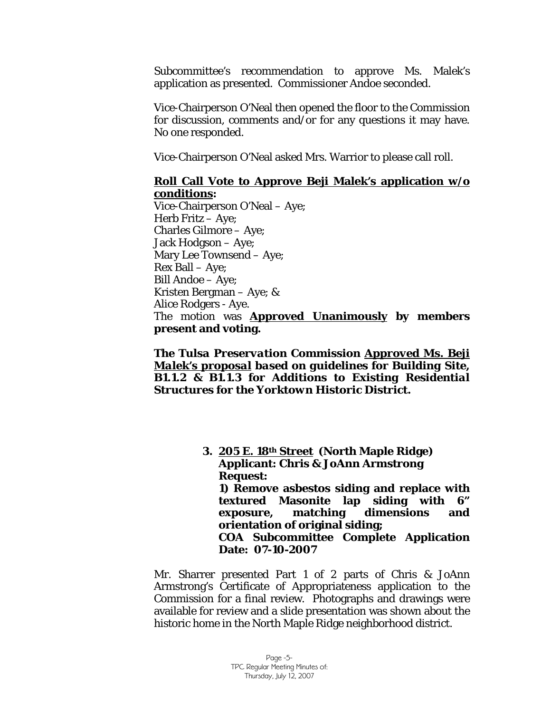Subcommittee's recommendation to approve Ms. Malek's application as presented. Commissioner Andoe seconded.

Vice-Chairperson O'Neal then opened the floor to the Commission for discussion, comments and/or for any questions it may have. No one responded.

Vice-Chairperson O'Neal asked Mrs. Warrior to please call roll.

#### **Roll Call Vote to Approve Beji Malek's application w/o conditions:**

Vice-Chairperson O'Neal – Aye; Herb Fritz – Aye; Charles Gilmore – Aye; Jack Hodgson – Aye; Mary Lee Townsend – Aye; Rex Ball – Aye; Bill Andoe – Aye; Kristen Bergman – Aye; & Alice Rodgers - Aye. The motion was **Approved Unanimously by members present and voting.** 

*The Tulsa Preservation Commission Approved Ms. Beji Malek's proposal based on guidelines for Building Site, B1.1.2 & B1.1.3 for Additions to Existing Residential Structures for the Yorktown Historic District.* 

> **3. 205 E. 18th Street (North Maple Ridge) Applicant: Chris & JoAnn Armstrong Request: 1) Remove asbestos siding and replace with textured Masonite lap siding with 6" exposure, matching dimensions and orientation of original siding; COA Subcommittee Complete Application Date: 07-10-2007**

Mr. Sharrer presented Part 1 of 2 parts of Chris & JoAnn Armstrong's Certificate of Appropriateness application to the Commission for a final review. Photographs and drawings were available for review and a slide presentation was shown about the historic home in the North Maple Ridge neighborhood district.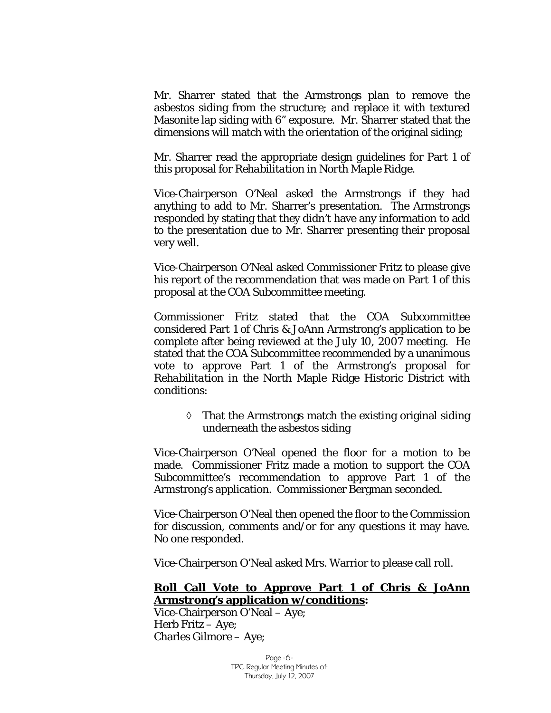Mr. Sharrer stated that the Armstrongs plan to remove the asbestos siding from the structure; and replace it with textured Masonite lap siding with 6" exposure. Mr. Sharrer stated that the dimensions will match with the orientation of the original siding;

Mr. Sharrer read the appropriate design guidelines for Part 1 of this proposal for *Rehabilitation in North Maple Ridge.* 

Vice-Chairperson O'Neal asked the Armstrongs if they had anything to add to Mr. Sharrer's presentation. The Armstrongs responded by stating that they didn't have any information to add to the presentation due to Mr. Sharrer presenting their proposal very well.

Vice-Chairperson O'Neal asked Commissioner Fritz to please give his report of the recommendation that was made on Part 1 of this proposal at the COA Subcommittee meeting.

Commissioner Fritz stated that the COA Subcommittee considered Part 1 of Chris & JoAnn Armstrong's application to be complete after being reviewed at the July 10, 2007 meeting. He stated that the COA Subcommittee recommended by a unanimous vote to approve Part 1 of the Armstrong's proposal for *Rehabilitation* in the North Maple Ridge Historic District with conditions:

> ◊ That the Armstrongs match the existing original siding underneath the asbestos siding

Vice-Chairperson O'Neal opened the floor for a motion to be made. Commissioner Fritz made a motion to support the COA Subcommittee's recommendation to approve Part 1 of the Armstrong's application. Commissioner Bergman seconded.

Vice-Chairperson O'Neal then opened the floor to the Commission for discussion, comments and/or for any questions it may have. No one responded.

Vice-Chairperson O'Neal asked Mrs. Warrior to please call roll.

#### **Roll Call Vote to Approve Part 1 of Chris & JoAnn Armstrong's application w/conditions:**

Vice-Chairperson O'Neal – Aye; Herb Fritz – Aye; Charles Gilmore – Aye;

> Page -6- TPC Regular Meeting Minutes of: Thursday, July 12, 2007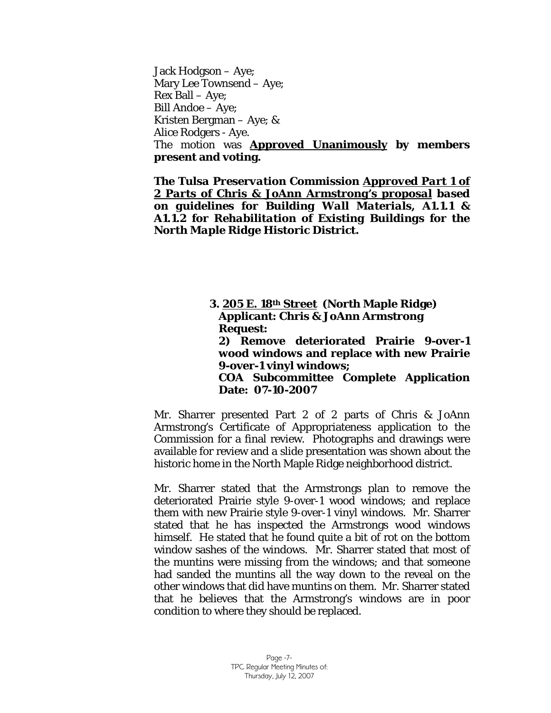Jack Hodgson – Aye; Mary Lee Townsend – Aye; Rex Ball – Aye; Bill Andoe – Aye; Kristen Bergman – Aye; & Alice Rodgers - Aye. The motion was **Approved Unanimously by members present and voting.** 

*The Tulsa Preservation Commission Approved Part 1 of 2 Parts of Chris & JoAnn Armstrong's proposal based on guidelines for Building Wall Materials, A1.1.1 & A1.1.2 for Rehabilitation of Existing Buildings for the North Maple Ridge Historic District.* 

> **3. 205 E. 18th Street (North Maple Ridge) Applicant: Chris & JoAnn Armstrong Request: 2) Remove deteriorated Prairie 9-over-1 wood windows and replace with new Prairie 9-over-1 vinyl windows; COA Subcommittee Complete Application Date: 07-10-2007**

Mr. Sharrer presented Part 2 of 2 parts of Chris & JoAnn Armstrong's Certificate of Appropriateness application to the Commission for a final review. Photographs and drawings were available for review and a slide presentation was shown about the historic home in the North Maple Ridge neighborhood district.

Mr. Sharrer stated that the Armstrongs plan to remove the deteriorated Prairie style 9-over-1 wood windows; and replace them with new Prairie style 9-over-1 vinyl windows. Mr. Sharrer stated that he has inspected the Armstrongs wood windows himself. He stated that he found quite a bit of rot on the bottom window sashes of the windows. Mr. Sharrer stated that most of the muntins were missing from the windows; and that someone had sanded the muntins all the way down to the reveal on the other windows that did have muntins on them. Mr. Sharrer stated that he believes that the Armstrong's windows are in poor condition to where they should be replaced.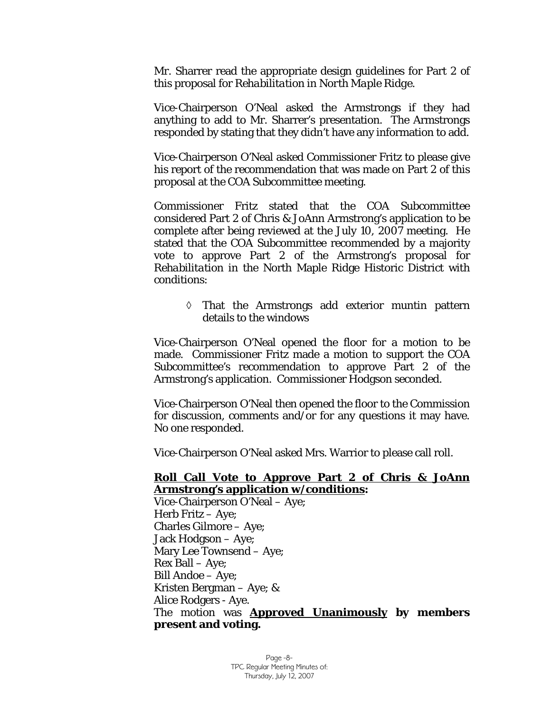Mr. Sharrer read the appropriate design guidelines for Part 2 of this proposal for *Rehabilitation in North Maple Ridge.* 

Vice-Chairperson O'Neal asked the Armstrongs if they had anything to add to Mr. Sharrer's presentation. The Armstrongs responded by stating that they didn't have any information to add.

Vice-Chairperson O'Neal asked Commissioner Fritz to please give his report of the recommendation that was made on Part 2 of this proposal at the COA Subcommittee meeting.

Commissioner Fritz stated that the COA Subcommittee considered Part 2 of Chris & JoAnn Armstrong's application to be complete after being reviewed at the July 10, 2007 meeting. He stated that the COA Subcommittee recommended by a majority vote to approve Part 2 of the Armstrong's proposal for *Rehabilitation* in the North Maple Ridge Historic District with conditions:

> ◊ That the Armstrongs add exterior muntin pattern details to the windows

Vice-Chairperson O'Neal opened the floor for a motion to be made. Commissioner Fritz made a motion to support the COA Subcommittee's recommendation to approve Part 2 of the Armstrong's application. Commissioner Hodgson seconded.

Vice-Chairperson O'Neal then opened the floor to the Commission for discussion, comments and/or for any questions it may have. No one responded.

Vice-Chairperson O'Neal asked Mrs. Warrior to please call roll.

## **Roll Call Vote to Approve Part 2 of Chris & JoAnn Armstrong's application w/conditions:**

Vice-Chairperson O'Neal – Aye; Herb Fritz – Aye; Charles Gilmore – Aye; Jack Hodgson – Aye; Mary Lee Townsend – Aye; Rex Ball – Aye; Bill Andoe – Aye; Kristen Bergman – Aye; & Alice Rodgers - Aye. The motion was **Approved Unanimously by members present and voting.**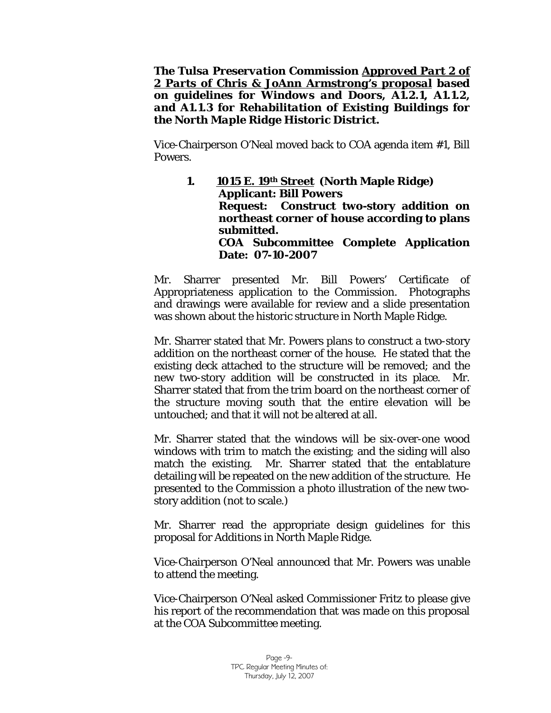*The Tulsa Preservation Commission Approved Part 2 of 2 Parts of Chris & JoAnn Armstrong's proposal based on guidelines for Windows and Doors, A1.2.1, A1.1.2, and A1.1.3 for Rehabilitation of Existing Buildings for the North Maple Ridge Historic District.* 

Vice-Chairperson O'Neal moved back to COA agenda item #1, Bill Powers.

> **1. 1015 E. 19th Street (North Maple Ridge) Applicant: Bill Powers Request: Construct two-story addition on northeast corner of house according to plans submitted. COA Subcommittee Complete Application Date: 07-10-2007**

Mr. Sharrer presented Mr. Bill Powers' Certificate of Appropriateness application to the Commission. Photographs and drawings were available for review and a slide presentation was shown about the historic structure in North Maple Ridge.

Mr. Sharrer stated that Mr. Powers plans to construct a two-story addition on the northeast corner of the house. He stated that the existing deck attached to the structure will be removed; and the new two-story addition will be constructed in its place. Mr. Sharrer stated that from the trim board on the northeast corner of the structure moving south that the entire elevation will be untouched; and that it will not be altered at all.

Mr. Sharrer stated that the windows will be six-over-one wood windows with trim to match the existing; and the siding will also match the existing. Mr. Sharrer stated that the entablature detailing will be repeated on the new addition of the structure. He presented to the Commission a photo illustration of the new twostory addition (not to scale.)

Mr. Sharrer read the appropriate design guidelines for this proposal for *Additions in North Maple Ridge.* 

Vice-Chairperson O'Neal announced that Mr. Powers was unable to attend the meeting.

Vice-Chairperson O'Neal asked Commissioner Fritz to please give his report of the recommendation that was made on this proposal at the COA Subcommittee meeting.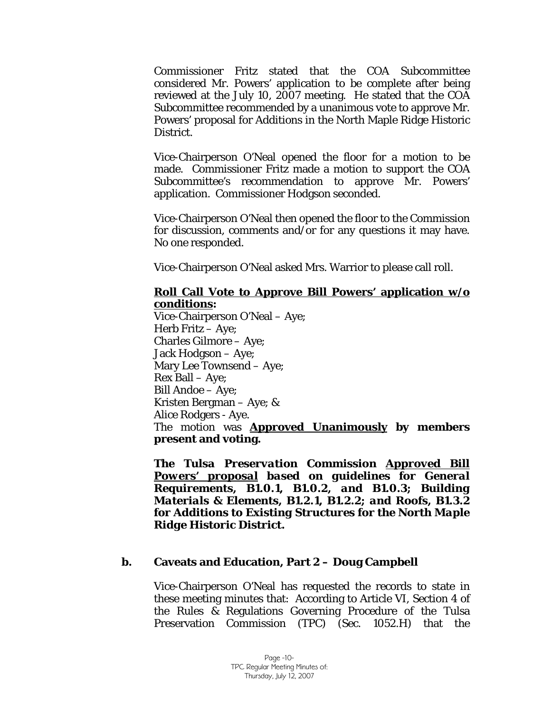Commissioner Fritz stated that the COA Subcommittee considered Mr. Powers' application to be complete after being reviewed at the July 10, 2007 meeting. He stated that the COA Subcommittee recommended by a unanimous vote to approve Mr. Powers' proposal for *Additions* in the North Maple Ridge Historic District.

Vice-Chairperson O'Neal opened the floor for a motion to be made. Commissioner Fritz made a motion to support the COA Subcommittee's recommendation to approve Mr. Powers' application. Commissioner Hodgson seconded.

Vice-Chairperson O'Neal then opened the floor to the Commission for discussion, comments and/or for any questions it may have. No one responded.

Vice-Chairperson O'Neal asked Mrs. Warrior to please call roll.

#### **Roll Call Vote to Approve Bill Powers' application w/o conditions:**

Vice-Chairperson O'Neal – Aye; Herb Fritz – Aye; Charles Gilmore – Aye; Jack Hodgson – Aye; Mary Lee Townsend – Aye; Rex Ball – Aye; Bill Andoe – Aye; Kristen Bergman – Aye; & Alice Rodgers - Aye. The motion was **Approved Unanimously by members present and voting.** 

*The Tulsa Preservation Commission Approved Bill Powers' proposal based on guidelines for General Requirements, B1.0.1, B1.0.2, and B1.0.3; Building Materials & Elements, B1.2.1, B1.2.2; and Roofs, B1.3.2 for Additions to Existing Structures for the North Maple Ridge Historic District.* 

#### **b. Caveats and Education, Part 2 – Doug Campbell**

Vice-Chairperson O'Neal has requested the records to state in these meeting minutes that: According to Article VI, Section 4 of the Rules & Regulations Governing Procedure of the Tulsa Preservation Commission (TPC) (Sec. 1052.H) that the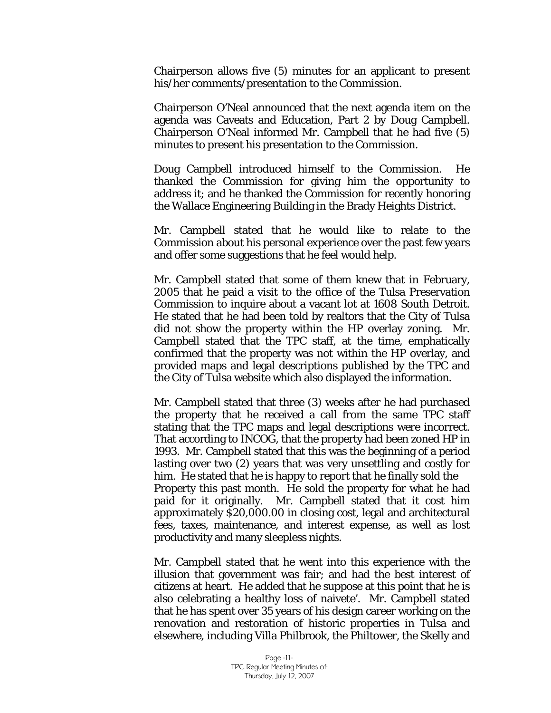Chairperson allows five (5) minutes for an applicant to present his/her comments/presentation to the Commission.

Chairperson O'Neal announced that the next agenda item on the agenda was Caveats and Education, Part 2 by Doug Campbell. Chairperson O'Neal informed Mr. Campbell that he had five (5) minutes to present his presentation to the Commission.

Doug Campbell introduced himself to the Commission. He thanked the Commission for giving him the opportunity to address it; and he thanked the Commission for recently honoring the Wallace Engineering Building in the Brady Heights District.

Mr. Campbell stated that he would like to relate to the Commission about his personal experience over the past few years and offer some suggestions that he feel would help.

Mr. Campbell stated that some of them knew that in February, 2005 that he paid a visit to the office of the Tulsa Preservation Commission to inquire about a vacant lot at 1608 South Detroit. He stated that he had been told by realtors that the City of Tulsa did not show the property within the HP overlay zoning. Mr. Campbell stated that the TPC staff, at the time, emphatically confirmed that the property was not within the HP overlay, and provided maps and legal descriptions published by the TPC and the City of Tulsa website which also displayed the information.

Mr. Campbell stated that three (3) weeks after he had purchased the property that he received a call from the same TPC staff stating that the TPC maps and legal descriptions were incorrect. That according to INCOG, that the property had been zoned HP in 1993. Mr. Campbell stated that this was the beginning of a period lasting over two (2) years that was very unsettling and costly for him. He stated that he is happy to report that he finally sold the Property this past month. He sold the property for what he had paid for it originally. Mr. Campbell stated that it cost him approximately \$20,000.00 in closing cost, legal and architectural fees, taxes, maintenance, and interest expense, as well as lost productivity and many sleepless nights.

Mr. Campbell stated that he went into this experience with the illusion that government was fair; and had the best interest of citizens at heart. He added that he suppose at this point that he is also celebrating a healthy loss of naivete'. Mr. Campbell stated that he has spent over 35 years of his design career working on the renovation and restoration of historic properties in Tulsa and elsewhere, including Villa Philbrook, the Philtower, the Skelly and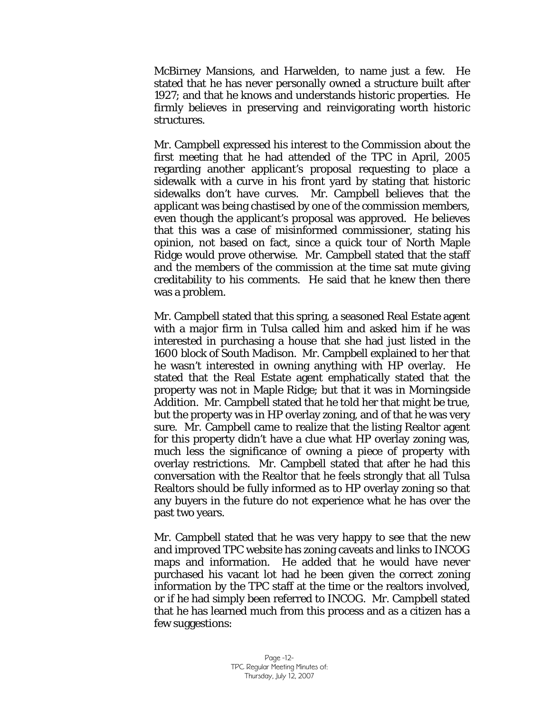McBirney Mansions, and Harwelden, to name just a few. He stated that he has never personally owned a structure built after 1927; and that he knows and understands historic properties. He firmly believes in preserving and reinvigorating worth historic structures.

Mr. Campbell expressed his interest to the Commission about the first meeting that he had attended of the TPC in April, 2005 regarding another applicant's proposal requesting to place a sidewalk with a curve in his front yard by stating that historic sidewalks don't have curves. Mr. Campbell believes that the applicant was being chastised by one of the commission members, even though the applicant's proposal was approved. He believes that this was a case of misinformed commissioner, stating his opinion, not based on fact, since a quick tour of North Maple Ridge would prove otherwise. Mr. Campbell stated that the staff and the members of the commission at the time sat mute giving creditability to his comments. He said that he knew then there was a problem.

Mr. Campbell stated that this spring, a seasoned Real Estate agent with a major firm in Tulsa called him and asked him if he was interested in purchasing a house that she had just listed in the 1600 block of South Madison. Mr. Campbell explained to her that he wasn't interested in owning anything with HP overlay. He stated that the Real Estate agent emphatically stated that the property was not in Maple Ridge; but that it was in Morningside Addition. Mr. Campbell stated that he told her that might be true, but the property was in HP overlay zoning, and of that he was very sure. Mr. Campbell came to realize that the listing Realtor agent for this property didn't have a clue what HP overlay zoning was, much less the significance of owning a piece of property with overlay restrictions. Mr. Campbell stated that after he had this conversation with the Realtor that he feels strongly that all Tulsa Realtors should be fully informed as to HP overlay zoning so that any buyers in the future do not experience what he has over the past two years.

Mr. Campbell stated that he was very happy to see that the new and improved TPC website has zoning caveats and links to INCOG maps and information. He added that he would have never purchased his vacant lot had he been given the correct zoning information by the TPC staff at the time or the realtors involved, or if he had simply been referred to INCOG. Mr. Campbell stated that he has learned much from this process and as a citizen has a few suggestions: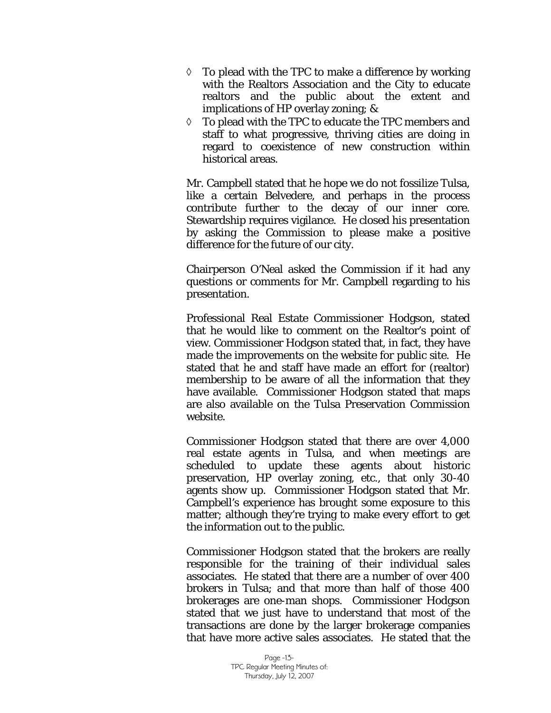- ◊ To plead with the TPC to make a difference by working with the Realtors Association and the City to educate realtors and the public about the extent and implications of HP overlay zoning; &
- ◊ To plead with the TPC to educate the TPC members and staff to what progressive, thriving cities are doing in regard to coexistence of new construction within historical areas.

Mr. Campbell stated that he hope we do not fossilize Tulsa, like a certain Belvedere, and perhaps in the process contribute further to the decay of our inner core. Stewardship requires vigilance. He closed his presentation by asking the Commission to please make a positive difference for the future of our city.

Chairperson O'Neal asked the Commission if it had any questions or comments for Mr. Campbell regarding to his presentation.

Professional Real Estate Commissioner Hodgson, stated that he would like to comment on the Realtor's point of view. Commissioner Hodgson stated that, in fact, they have made the improvements on the website for public site. He stated that he and staff have made an effort for (realtor) membership to be aware of all the information that they have available. Commissioner Hodgson stated that maps are also available on the Tulsa Preservation Commission website.

Commissioner Hodgson stated that there are over 4,000 real estate agents in Tulsa, and when meetings are scheduled to update these agents about historic preservation, HP overlay zoning, etc., that only 30-40 agents show up. Commissioner Hodgson stated that Mr. Campbell's experience has brought some exposure to this matter; although they're trying to make every effort to get the information out to the public.

Commissioner Hodgson stated that the brokers are really responsible for the training of their individual sales associates. He stated that there are a number of over 400 brokers in Tulsa; and that more than half of those 400 brokerages are one-man shops. Commissioner Hodgson stated that we just have to understand that most of the transactions are done by the larger brokerage companies that have more active sales associates. He stated that the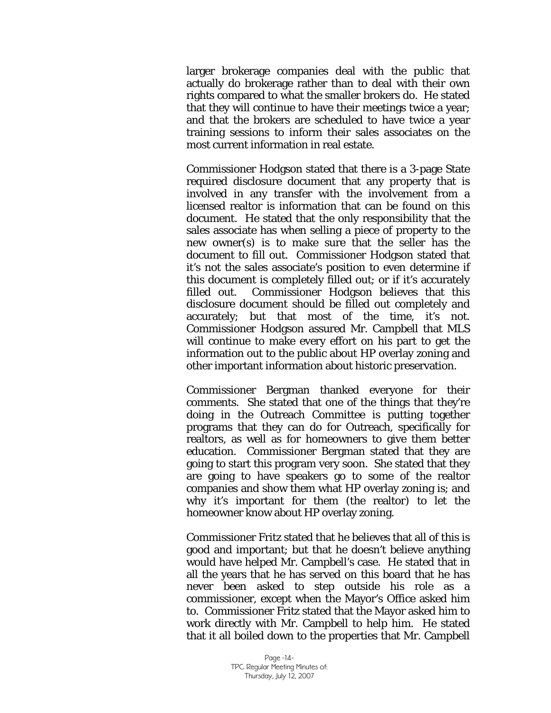larger brokerage companies deal with the public that actually do brokerage rather than to deal with their own rights compared to what the smaller brokers do. He stated that they will continue to have their meetings twice a year; and that the brokers are scheduled to have twice a year training sessions to inform their sales associates on the most current information in real estate.

Commissioner Hodgson stated that there is a 3-page State required disclosure document that any property that is involved in any transfer with the involvement from a licensed realtor is information that can be found on this document. He stated that the only responsibility that the sales associate has when selling a piece of property to the new owner(s) is to make sure that the seller has the document to fill out. Commissioner Hodgson stated that it's not the sales associate's position to even determine if this document is completely filled out; or if it's accurately filled out. Commissioner Hodgson believes that this disclosure document should be filled out completely and accurately; but that most of the time, it's not. Commissioner Hodgson assured Mr. Campbell that MLS will continue to make every effort on his part to get the information out to the public about HP overlay zoning and other important information about historic preservation.

Commissioner Bergman thanked everyone for their comments. She stated that one of the things that they're doing in the Outreach Committee is putting together programs that they can do for Outreach, specifically for realtors, as well as for homeowners to give them better education. Commissioner Bergman stated that they are going to start this program very soon. She stated that they are going to have speakers go to some of the realtor companies and show them what HP overlay zoning is; and why it's important for them (the realtor) to let the homeowner know about HP overlay zoning.

Commissioner Fritz stated that he believes that all of this is good and important; but that he doesn't believe anything would have helped Mr. Campbell's case. He stated that in all the years that he has served on this board that he has never been asked to step outside his role as a commissioner, except when the Mayor's Office asked him to. Commissioner Fritz stated that the Mayor asked him to work directly with Mr. Campbell to help him. He stated that it all boiled down to the properties that Mr. Campbell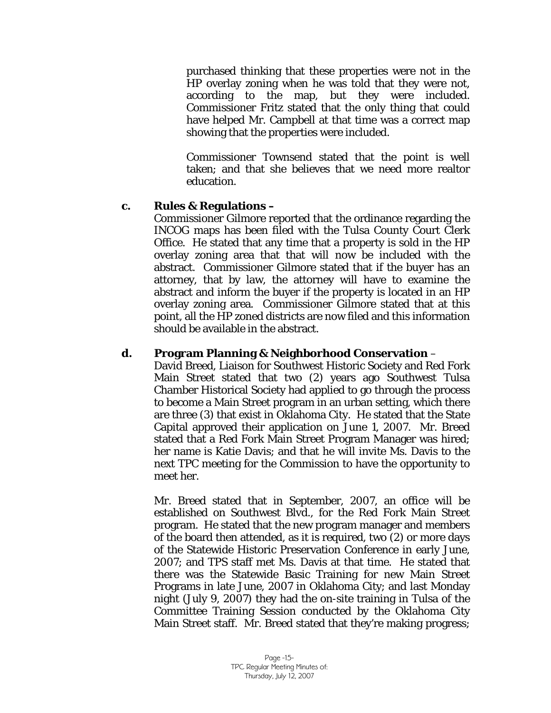purchased thinking that these properties were not in the HP overlay zoning when he was told that they were not, according to the map, but they were included. Commissioner Fritz stated that the only thing that could have helped Mr. Campbell at that time was a correct map showing that the properties were included.

Commissioner Townsend stated that the point is well taken; and that she believes that we need more realtor education.

## **c. Rules & Regulations –**

Commissioner Gilmore reported that the ordinance regarding the INCOG maps has been filed with the Tulsa County Court Clerk Office. He stated that any time that a property is sold in the HP overlay zoning area that that will now be included with the abstract. Commissioner Gilmore stated that if the buyer has an attorney, that by law, the attorney will have to examine the abstract and inform the buyer if the property is located in an HP overlay zoning area. Commissioner Gilmore stated that at this point, all the HP zoned districts are now filed and this information should be available in the abstract.

# **d. Program Planning & Neighborhood Conservation** –

David Breed, Liaison for Southwest Historic Society and Red Fork Main Street stated that two (2) years ago Southwest Tulsa Chamber Historical Society had applied to go through the process to become a Main Street program in an urban setting, which there are three (3) that exist in Oklahoma City. He stated that the State Capital approved their application on June 1, 2007. Mr. Breed stated that a Red Fork Main Street Program Manager was hired; her name is Katie Davis; and that he will invite Ms. Davis to the next TPC meeting for the Commission to have the opportunity to meet her.

Mr. Breed stated that in September, 2007, an office will be established on Southwest Blvd., for the Red Fork Main Street program. He stated that the new program manager and members of the board then attended, as it is required, two (2) or more days of the Statewide Historic Preservation Conference in early June, 2007; and TPS staff met Ms. Davis at that time. He stated that there was the Statewide Basic Training for new Main Street Programs in late June, 2007 in Oklahoma City; and last Monday night (July 9, 2007) they had the on-site training in Tulsa of the Committee Training Session conducted by the Oklahoma City Main Street staff. Mr. Breed stated that they're making progress;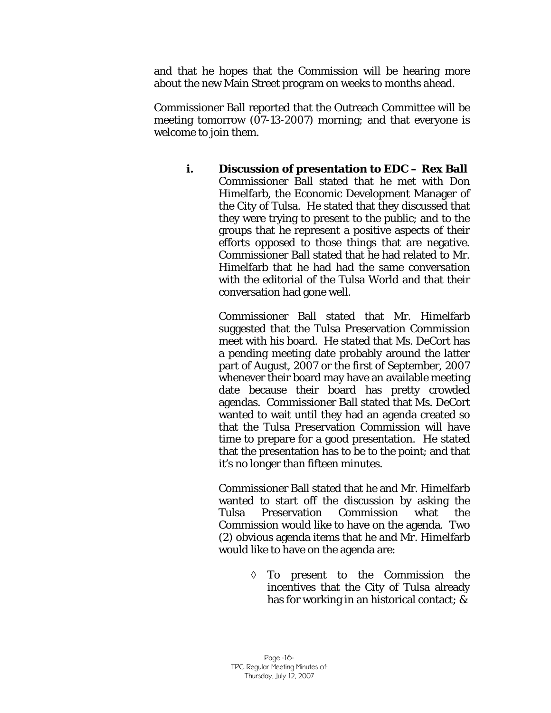and that he hopes that the Commission will be hearing more about the new Main Street program on weeks to months ahead.

Commissioner Ball reported that the Outreach Committee will be meeting tomorrow (07-13-2007) morning; and that everyone is welcome to join them.

 **i. Discussion of presentation to EDC – Rex Ball**  Commissioner Ball stated that he met with Don Himelfarb, the Economic Development Manager of the City of Tulsa. He stated that they discussed that they were trying to present to the public; and to the groups that he represent a positive aspects of their efforts opposed to those things that are negative. Commissioner Ball stated that he had related to Mr. Himelfarb that he had had the same conversation with the editorial of the Tulsa World and that their conversation had gone well.

> Commissioner Ball stated that Mr. Himelfarb suggested that the Tulsa Preservation Commission meet with his board. He stated that Ms. DeCort has a pending meeting date probably around the latter part of August, 2007 or the first of September, 2007 whenever their board may have an available meeting date because their board has pretty crowded agendas. Commissioner Ball stated that Ms. DeCort wanted to wait until they had an agenda created so that the Tulsa Preservation Commission will have time to prepare for a good presentation. He stated that the presentation has to be to the point; and that it's no longer than fifteen minutes.

> Commissioner Ball stated that he and Mr. Himelfarb wanted to start off the discussion by asking the Tulsa Preservation Commission what the Commission would like to have on the agenda. Two (2) obvious agenda items that he and Mr. Himelfarb would like to have on the agenda are:

> > ◊ To present to the Commission the incentives that the City of Tulsa already has for working in an historical contact; &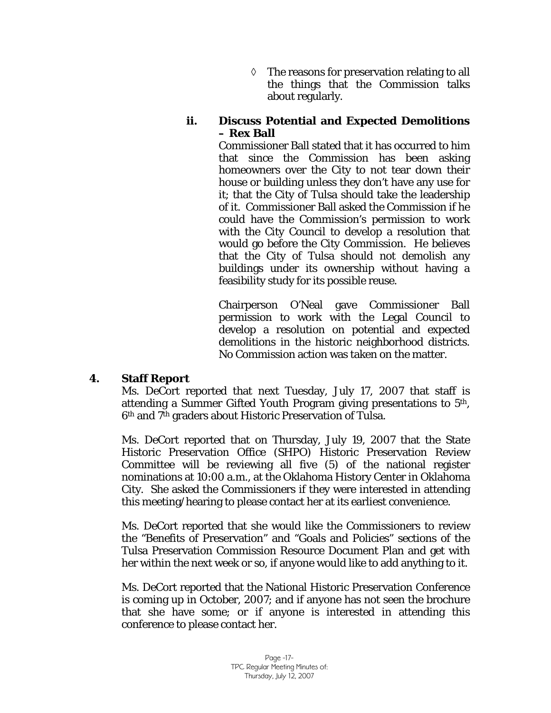◊ The reasons for preservation relating to all the things that the Commission talks about regularly.

#### **ii. Discuss Potential and Expected Demolitions – Rex Ball**

Commissioner Ball stated that it has occurred to him that since the Commission has been asking homeowners over the City to not tear down their house or building unless they don't have any use for it; that the City of Tulsa should take the leadership of it. Commissioner Ball asked the Commission if he could have the Commission's permission to work with the City Council to develop a resolution that would go before the City Commission. He believes that the City of Tulsa should not demolish any buildings under its ownership without having a feasibility study for its possible reuse.

Chairperson O'Neal gave Commissioner Ball permission to work with the Legal Council to develop a resolution on potential and expected demolitions in the historic neighborhood districts. No Commission action was taken on the matter.

#### **4. Staff Report**

Ms. DeCort reported that next Tuesday, July 17, 2007 that staff is attending a Summer Gifted Youth Program giving presentations to 5th, 6th and 7th graders about Historic Preservation of Tulsa.

Ms. DeCort reported that on Thursday, July 19, 2007 that the State Historic Preservation Office (SHPO) Historic Preservation Review Committee will be reviewing all five (5) of the national register nominations at 10:00 a.m., at the Oklahoma History Center in Oklahoma City. She asked the Commissioners if they were interested in attending this meeting/hearing to please contact her at its earliest convenience.

Ms. DeCort reported that she would like the Commissioners to review the "Benefits of Preservation" and "Goals and Policies" sections of the Tulsa Preservation Commission Resource Document Plan and get with her within the next week or so, if anyone would like to add anything to it.

Ms. DeCort reported that the National Historic Preservation Conference is coming up in October, 2007; and if anyone has not seen the brochure that she have some; or if anyone is interested in attending this conference to please contact her.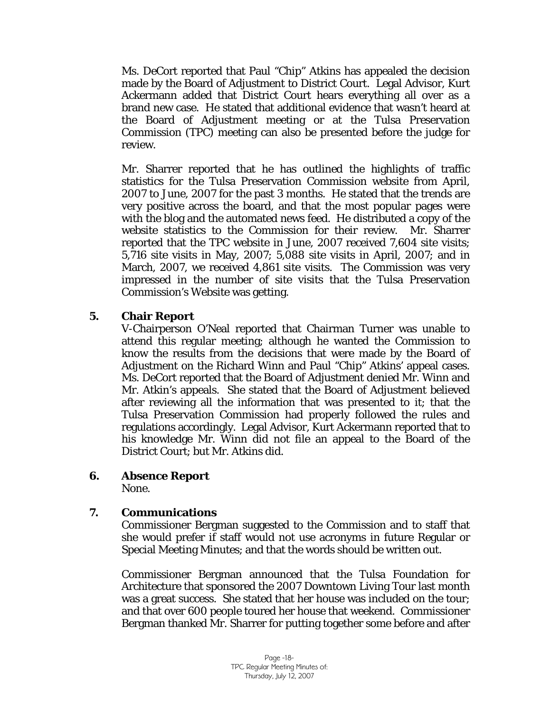Ms. DeCort reported that Paul "Chip" Atkins has appealed the decision made by the Board of Adjustment to District Court. Legal Advisor, Kurt Ackermann added that District Court hears everything all over as a brand new case. He stated that additional evidence that wasn't heard at the Board of Adjustment meeting or at the Tulsa Preservation Commission (TPC) meeting can also be presented before the judge for review.

Mr. Sharrer reported that he has outlined the highlights of traffic statistics for the Tulsa Preservation Commission website from April, 2007 to June, 2007 for the past 3 months. He stated that the trends are very positive across the board, and that the most popular pages were with the blog and the automated news feed. He distributed a copy of the website statistics to the Commission for their review. Mr. Sharrer reported that the TPC website in June, 2007 received 7,604 site visits; 5,716 site visits in May, 2007; 5,088 site visits in April, 2007; and in March, 2007, we received 4,861 site visits. The Commission was very impressed in the number of site visits that the Tulsa Preservation Commission's Website was getting.

## **5. Chair Report**

V-Chairperson O'Neal reported that Chairman Turner was unable to attend this regular meeting; although he wanted the Commission to know the results from the decisions that were made by the Board of Adjustment on the Richard Winn and Paul "Chip" Atkins' appeal cases. Ms. DeCort reported that the Board of Adjustment denied Mr. Winn and Mr. Atkin's appeals. She stated that the Board of Adjustment believed after reviewing all the information that was presented to it; that the Tulsa Preservation Commission had properly followed the rules and regulations accordingly. Legal Advisor, Kurt Ackermann reported that to his knowledge Mr. Winn did not file an appeal to the Board of the District Court; but Mr. Atkins did.

**6. Absence Report** 

None.

# **7. Communications**

Commissioner Bergman suggested to the Commission and to staff that she would prefer if staff would not use acronyms in future Regular or Special Meeting Minutes; and that the words should be written out.

Commissioner Bergman announced that the Tulsa Foundation for Architecture that sponsored the 2007 Downtown Living Tour last month was a great success. She stated that her house was included on the tour; and that over 600 people toured her house that weekend. Commissioner Bergman thanked Mr. Sharrer for putting together some before and after